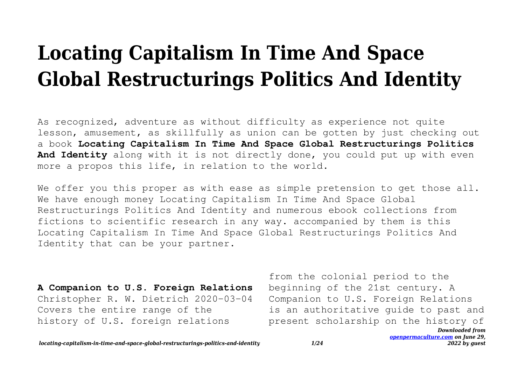## **Locating Capitalism In Time And Space Global Restructurings Politics And Identity**

As recognized, adventure as without difficulty as experience not quite lesson, amusement, as skillfully as union can be gotten by just checking out a book **Locating Capitalism In Time And Space Global Restructurings Politics And Identity** along with it is not directly done, you could put up with even more a propos this life, in relation to the world.

We offer you this proper as with ease as simple pretension to get those all. We have enough money Locating Capitalism In Time And Space Global Restructurings Politics And Identity and numerous ebook collections from fictions to scientific research in any way. accompanied by them is this Locating Capitalism In Time And Space Global Restructurings Politics And Identity that can be your partner.

**A Companion to U.S. Foreign Relations** Christopher R. W. Dietrich 2020-03-04 Covers the entire range of the history of U.S. foreign relations

*Downloaded from* from the colonial period to the beginning of the 21st century. A Companion to U.S. Foreign Relations is an authoritative guide to past and present scholarship on the history of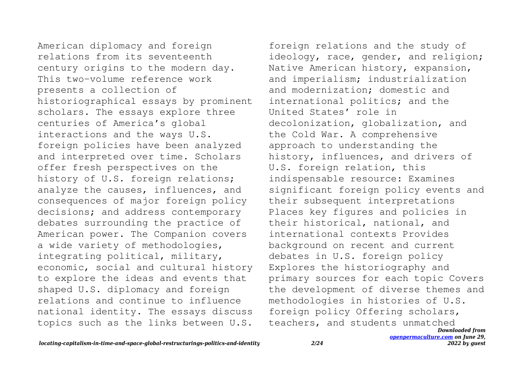American diplomacy and foreign relations from its seventeenth century origins to the modern day. This two-volume reference work presents a collection of historiographical essays by prominent scholars. The essays explore three centuries of America's global interactions and the ways U.S. foreign policies have been analyzed and interpreted over time. Scholars offer fresh perspectives on the history of U.S. foreign relations; analyze the causes, influences, and consequences of major foreign policy decisions; and address contemporary debates surrounding the practice of American power. The Companion covers a wide variety of methodologies, integrating political, military, economic, social and cultural history to explore the ideas and events that shaped U.S. diplomacy and foreign relations and continue to influence national identity. The essays discuss topics such as the links between U.S.

*Downloaded from* foreign relations and the study of ideology, race, gender, and religion; Native American history, expansion, and imperialism; industrialization and modernization; domestic and international politics; and the United States' role in decolonization, globalization, and the Cold War. A comprehensive approach to understanding the history, influences, and drivers of U.S. foreign relation, this indispensable resource: Examines significant foreign policy events and their subsequent interpretations Places key figures and policies in their historical, national, and international contexts Provides background on recent and current debates in U.S. foreign policy Explores the historiography and primary sources for each topic Covers the development of diverse themes and methodologies in histories of U.S. foreign policy Offering scholars, teachers, and students unmatched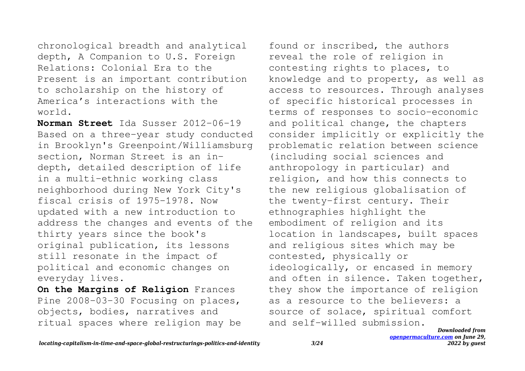chronological breadth and analytical depth, A Companion to U.S. Foreign Relations: Colonial Era to the Present is an important contribution to scholarship on the history of America's interactions with the world.

**Norman Street** Ida Susser 2012-06-19 Based on a three-year study conducted in Brooklyn's Greenpoint/Williamsburg section, Norman Street is an indepth, detailed description of life in a multi-ethnic working class neighborhood during New York City's fiscal crisis of 1975-1978. Now updated with a new introduction to address the changes and events of the thirty years since the book's original publication, its lessons still resonate in the impact of political and economic changes on everyday lives.

**On the Margins of Religion** Frances Pine 2008-03-30 Focusing on places, objects, bodies, narratives and ritual spaces where religion may be

found or inscribed, the authors reveal the role of religion in contesting rights to places, to knowledge and to property, as well as access to resources. Through analyses of specific historical processes in terms of responses to socio-economic and political change, the chapters consider implicitly or explicitly the problematic relation between science (including social sciences and anthropology in particular) and religion, and how this connects to the new religious globalisation of the twenty-first century. Their ethnographies highlight the embodiment of religion and its location in landscapes, built spaces and religious sites which may be contested, physically or ideologically, or encased in memory and often in silence. Taken together, they show the importance of religion as a resource to the believers: a source of solace, spiritual comfort and self-willed submission.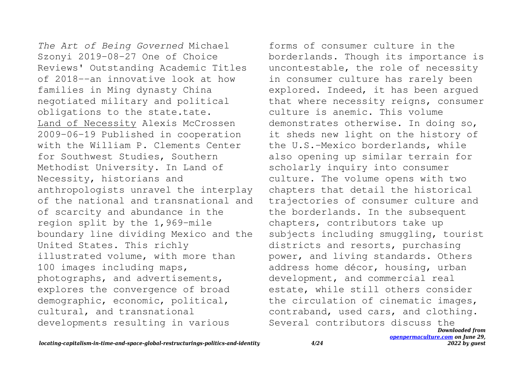*The Art of Being Governed* Michael Szonyi 2019-08-27 One of Choice Reviews' Outstanding Academic Titles of 2018--an innovative look at how families in Ming dynasty China negotiated military and political obligations to the state.tate. Land of Necessity Alexis McCrossen 2009-06-19 Published in cooperation with the William P. Clements Center for Southwest Studies, Southern Methodist University. In Land of Necessity, historians and anthropologists unravel the interplay of the national and transnational and of scarcity and abundance in the region split by the 1,969-mile boundary line dividing Mexico and the United States. This richly illustrated volume, with more than 100 images including maps, photographs, and advertisements, explores the convergence of broad demographic, economic, political, cultural, and transnational developments resulting in various

*Downloaded from* forms of consumer culture in the borderlands. Though its importance is uncontestable, the role of necessity in consumer culture has rarely been explored. Indeed, it has been argued that where necessity reigns, consumer culture is anemic. This volume demonstrates otherwise. In doing so, it sheds new light on the history of the U.S.-Mexico borderlands, while also opening up similar terrain for scholarly inquiry into consumer culture. The volume opens with two chapters that detail the historical trajectories of consumer culture and the borderlands. In the subsequent chapters, contributors take up subjects including smuggling, tourist districts and resorts, purchasing power, and living standards. Others address home décor, housing, urban development, and commercial real estate, while still others consider the circulation of cinematic images, contraband, used cars, and clothing. Several contributors discuss the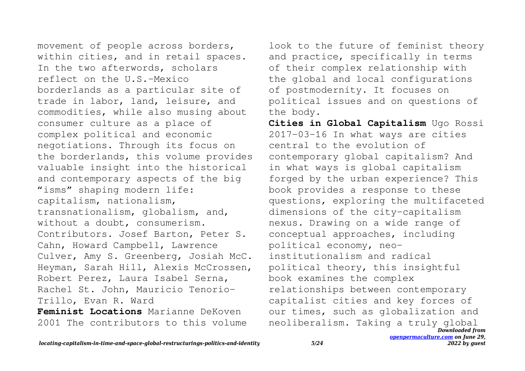movement of people across borders, within cities, and in retail spaces. In the two afterwords, scholars reflect on the U.S.-Mexico borderlands as a particular site of trade in labor, land, leisure, and commodities, while also musing about consumer culture as a place of complex political and economic negotiations. Through its focus on the borderlands, this volume provides valuable insight into the historical and contemporary aspects of the big "isms" shaping modern life: capitalism, nationalism, transnationalism, globalism, and, without a doubt, consumerism. Contributors. Josef Barton, Peter S. Cahn, Howard Campbell, Lawrence Culver, Amy S. Greenberg, Josiah McC. Heyman, Sarah Hill, Alexis McCrossen, Robert Perez, Laura Isabel Serna, Rachel St. John, Mauricio Tenorio-Trillo, Evan R. Ward **Feminist Locations** Marianne DeKoven

2001 The contributors to this volume

look to the future of feminist theory and practice, specifically in terms of their complex relationship with the global and local configurations of postmodernity. It focuses on political issues and on questions of the body.

*Downloaded from* **Cities in Global Capitalism** Ugo Rossi 2017-03-16 In what ways are cities central to the evolution of contemporary global capitalism? And in what ways is global capitalism forged by the urban experience? This book provides a response to these questions, exploring the multifaceted dimensions of the city-capitalism nexus. Drawing on a wide range of conceptual approaches, including political economy, neoinstitutionalism and radical political theory, this insightful book examines the complex relationships between contemporary capitalist cities and key forces of our times, such as globalization and neoliberalism. Taking a truly global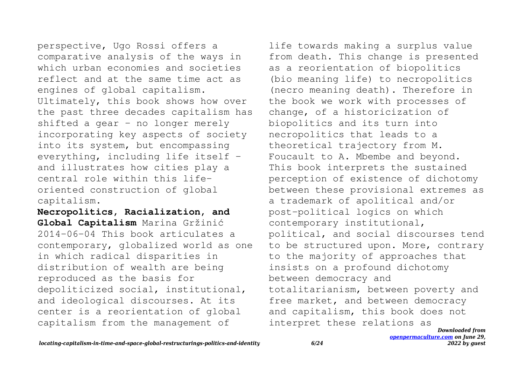perspective, Ugo Rossi offers a comparative analysis of the ways in which urban economies and societies reflect and at the same time act as engines of global capitalism. Ultimately, this book shows how over the past three decades capitalism has shifted a gear – no longer merely incorporating key aspects of society into its system, but encompassing everything, including life itself – and illustrates how cities play a central role within this lifeoriented construction of global capitalism.

**Necropolitics, Racialization, and Global Capitalism** Marina Gržinić 2014-06-04 This book articulates a contemporary, globalized world as one in which radical disparities in distribution of wealth are being reproduced as the basis for depoliticized social, institutional, and ideological discourses. At its center is a reorientation of global capitalism from the management of

life towards making a surplus value from death. This change is presented as a reorientation of biopolitics (bio meaning life) to necropolitics (necro meaning death). Therefore in the book we work with processes of change, of a historicization of biopolitics and its turn into necropolitics that leads to a theoretical trajectory from M. Foucault to A. Mbembe and beyond. This book interprets the sustained perception of existence of dichotomy between these provisional extremes as a trademark of apolitical and/or post-political logics on which contemporary institutional, political, and social discourses tend to be structured upon. More, contrary to the majority of approaches that insists on a profound dichotomy between democracy and totalitarianism, between poverty and free market, and between democracy and capitalism, this book does not interpret these relations as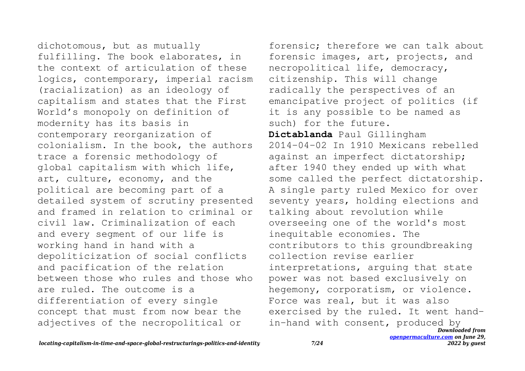dichotomous, but as mutually fulfilling. The book elaborates, in the context of articulation of these logics, contemporary, imperial racism (racialization) as an ideology of capitalism and states that the First World's monopoly on definition of modernity has its basis in contemporary reorganization of colonialism. In the book, the authors trace a forensic methodology of global capitalism with which life, art, culture, economy, and the political are becoming part of a detailed system of scrutiny presented and framed in relation to criminal or civil law. Criminalization of each and every segment of our life is working hand in hand with a depoliticization of social conflicts and pacification of the relation between those who rules and those who are ruled. The outcome is a differentiation of every single concept that must from now bear the adjectives of the necropolitical or

*Downloaded from [openpermaculture.com](http://openpermaculture.com) on June 29,* forensic; therefore we can talk about forensic images, art, projects, and necropolitical life, democracy, citizenship. This will change radically the perspectives of an emancipative project of politics (if it is any possible to be named as such) for the future. **Dictablanda** Paul Gillingham 2014-04-02 In 1910 Mexicans rebelled against an imperfect dictatorship; after 1940 they ended up with what some called the perfect dictatorship. A single party ruled Mexico for over seventy years, holding elections and talking about revolution while overseeing one of the world's most inequitable economies. The contributors to this groundbreaking collection revise earlier interpretations, arguing that state power was not based exclusively on hegemony, corporatism, or violence. Force was real, but it was also exercised by the ruled. It went handin-hand with consent, produced by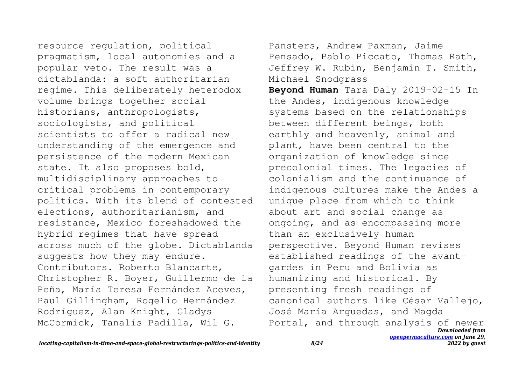resource regulation, political pragmatism, local autonomies and a popular veto. The result was a dictablanda: a soft authoritarian regime. This deliberately heterodox volume brings together social historians, anthropologists, sociologists, and political scientists to offer a radical new understanding of the emergence and persistence of the modern Mexican state. It also proposes bold, multidisciplinary approaches to critical problems in contemporary politics. With its blend of contested elections, authoritarianism, and resistance, Mexico foreshadowed the hybrid regimes that have spread across much of the globe. Dictablanda suggests how they may endure. Contributors. Roberto Blancarte, Christopher R. Boyer, Guillermo de la Peña, María Teresa Fernández Aceves, Paul Gillingham, Rogelio Hernández Rodríguez, Alan Knight, Gladys McCormick, Tanalís Padilla, Wil G.

*Downloaded from [openpermaculture.com](http://openpermaculture.com) on June 29,* Pansters, Andrew Paxman, Jaime Pensado, Pablo Piccato, Thomas Rath, Jeffrey W. Rubin, Benjamin T. Smith, Michael Snodgrass **Beyond Human** Tara Daly 2019-02-15 In the Andes, indigenous knowledge systems based on the relationships between different beings, both earthly and heavenly, animal and plant, have been central to the organization of knowledge since precolonial times. The legacies of colonialism and the continuance of indigenous cultures make the Andes a unique place from which to think about art and social change as ongoing, and as encompassing more than an exclusively human perspective. Beyond Human revises established readings of the avantgardes in Peru and Bolivia as humanizing and historical. By presenting fresh readings of canonical authors like César Vallejo, José María Arguedas, and Magda Portal, and through analysis of newer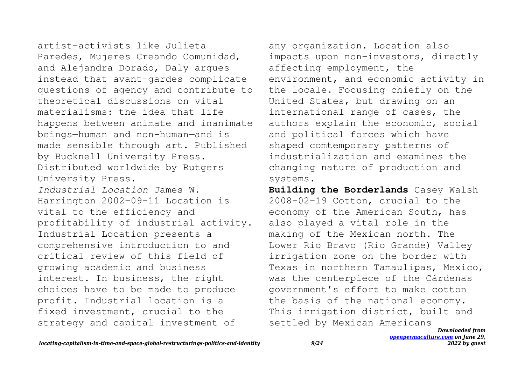artist-activists like Julieta Paredes, Mujeres Creando Comunidad, and Alejandra Dorado, Daly argues instead that avant-gardes complicate questions of agency and contribute to theoretical discussions on vital materialisms: the idea that life happens between animate and inanimate beings—human and non-human—and is made sensible through art. Published by Bucknell University Press. Distributed worldwide by Rutgers University Press. *Industrial Location* James W. Harrington 2002-09-11 Location is vital to the efficiency and profitability of industrial activity. Industrial Location presents a comprehensive introduction to and critical review of this field of growing academic and business interest. In business, the right choices have to be made to produce profit. Industrial location is a fixed investment, crucial to the strategy and capital investment of

any organization. Location also impacts upon non-investors, directly affecting employment, the environment, and economic activity in the locale. Focusing chiefly on the United States, but drawing on an international range of cases, the authors explain the economic, social and political forces which have shaped comtemporary patterns of industrialization and examines the changing nature of production and systems.

**Building the Borderlands** Casey Walsh 2008-02-19 Cotton, crucial to the economy of the American South, has also played a vital role in the making of the Mexican north. The Lower Río Bravo (Rio Grande) Valley irrigation zone on the border with Texas in northern Tamaulipas, Mexico, was the centerpiece of the Cárdenas government's effort to make cotton the basis of the national economy. This irrigation district, built and settled by Mexican Americans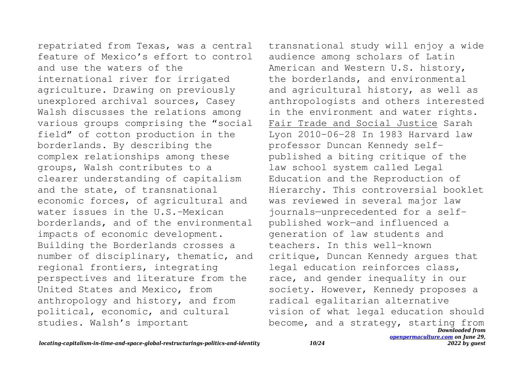repatriated from Texas, was a central feature of Mexico's effort to control and use the waters of the international river for irrigated agriculture. Drawing on previously unexplored archival sources, Casey Walsh discusses the relations among various groups comprising the "social field" of cotton production in the borderlands. By describing the complex relationships among these groups, Walsh contributes to a clearer understanding of capitalism and the state, of transnational economic forces, of agricultural and water issues in the U.S.-Mexican borderlands, and of the environmental impacts of economic development. Building the Borderlands crosses a number of disciplinary, thematic, and regional frontiers, integrating perspectives and literature from the United States and Mexico, from anthropology and history, and from political, economic, and cultural studies. Walsh's important

*Downloaded from [openpermaculture.com](http://openpermaculture.com) on June 29,* transnational study will enjoy a wide audience among scholars of Latin American and Western U.S. history, the borderlands, and environmental and agricultural history, as well as anthropologists and others interested in the environment and water rights. Fair Trade and Social Justice Sarah Lyon 2010-06-28 In 1983 Harvard law professor Duncan Kennedy selfpublished a biting critique of the law school system called Legal Education and the Reproduction of Hierarchy. This controversial booklet was reviewed in several major law journals—unprecedented for a selfpublished work—and influenced a generation of law students and teachers. In this well-known critique, Duncan Kennedy argues that legal education reinforces class, race, and gender inequality in our society. However, Kennedy proposes a radical egalitarian alternative vision of what legal education should become, and a strategy, starting from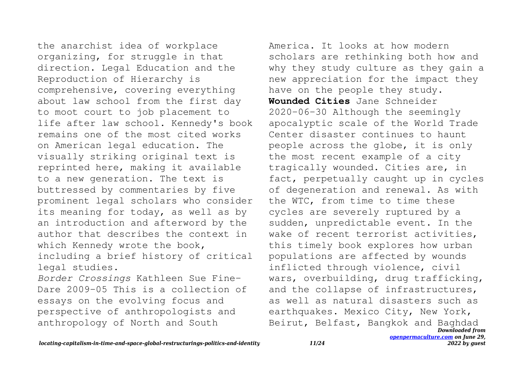the anarchist idea of workplace organizing, for struggle in that direction. Legal Education and the Reproduction of Hierarchy is comprehensive, covering everything about law school from the first day to moot court to job placement to life after law school. Kennedy's book remains one of the most cited works on American legal education. The visually striking original text is reprinted here, making it available to a new generation. The text is buttressed by commentaries by five prominent legal scholars who consider its meaning for today, as well as by an introduction and afterword by the author that describes the context in which Kennedy wrote the book, including a brief history of critical legal studies. *Border Crossings* Kathleen Sue Fine-Dare 2009-05 This is a collection of

essays on the evolving focus and perspective of anthropologists and anthropology of North and South

*Downloaded from* America. It looks at how modern scholars are rethinking both how and why they study culture as they gain a new appreciation for the impact they have on the people they study. **Wounded Cities** Jane Schneider 2020-06-30 Although the seemingly apocalyptic scale of the World Trade Center disaster continues to haunt people across the globe, it is only the most recent example of a city tragically wounded. Cities are, in fact, perpetually caught up in cycles of degeneration and renewal. As with the WTC, from time to time these cycles are severely ruptured by a sudden, unpredictable event. In the wake of recent terrorist activities, this timely book explores how urban populations are affected by wounds inflicted through violence, civil wars, overbuilding, drug trafficking, and the collapse of infrastructures, as well as natural disasters such as earthquakes. Mexico City, New York, Beirut, Belfast, Bangkok and Baghdad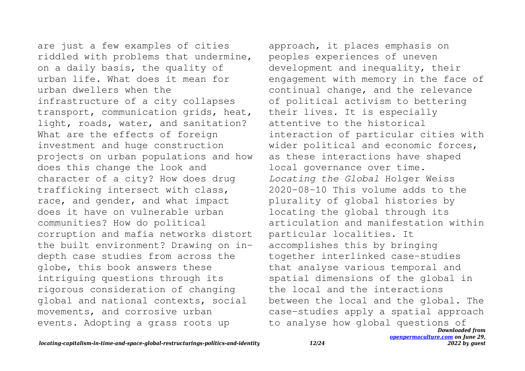are just a few examples of cities riddled with problems that undermine, on a daily basis, the quality of urban life. What does it mean for urban dwellers when the infrastructure of a city collapses transport, communication grids, heat, light, roads, water, and sanitation? What are the effects of foreign investment and huge construction projects on urban populations and how does this change the look and character of a city? How does drug trafficking intersect with class, race, and gender, and what impact does it have on vulnerable urban communities? How do political corruption and mafia networks distort the built environment? Drawing on indepth case studies from across the globe, this book answers these intriguing questions through its rigorous consideration of changing global and national contexts, social movements, and corrosive urban events. Adopting a grass roots up

*Downloaded from* approach, it places emphasis on peoples experiences of uneven development and inequality, their engagement with memory in the face of continual change, and the relevance of political activism to bettering their lives. It is especially attentive to the historical interaction of particular cities with wider political and economic forces, as these interactions have shaped local governance over time. *Locating the Global* Holger Weiss 2020-08-10 This volume adds to the plurality of global histories by locating the global through its articulation and manifestation within particular localities. It accomplishes this by bringing together interlinked case-studies that analyse various temporal and spatial dimensions of the global in the local and the interactions between the local and the global. The case-studies apply a spatial approach to analyse how global questions of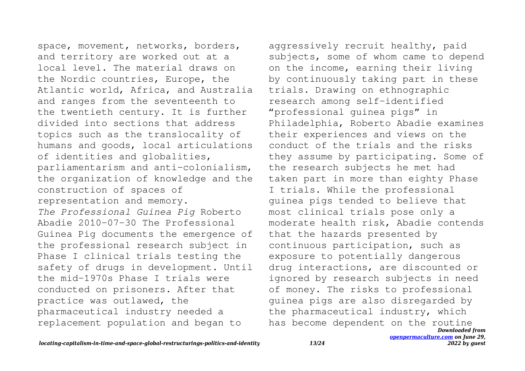space, movement, networks, borders, and territory are worked out at a local level. The material draws on the Nordic countries, Europe, the Atlantic world, Africa, and Australia and ranges from the seventeenth to the twentieth century. It is further divided into sections that address topics such as the translocality of humans and goods, local articulations of identities and globalities, parliamentarism and anti-colonialism, the organization of knowledge and the construction of spaces of representation and memory. *The Professional Guinea Pig* Roberto Abadie 2010-07-30 The Professional Guinea Pig documents the emergence of the professional research subject in Phase I clinical trials testing the safety of drugs in development. Until the mid-1970s Phase I trials were conducted on prisoners. After that practice was outlawed, the pharmaceutical industry needed a replacement population and began to

*Downloaded from* aggressively recruit healthy, paid subjects, some of whom came to depend on the income, earning their living by continuously taking part in these trials. Drawing on ethnographic research among self-identified "professional guinea pigs" in Philadelphia, Roberto Abadie examines their experiences and views on the conduct of the trials and the risks they assume by participating. Some of the research subjects he met had taken part in more than eighty Phase I trials. While the professional guinea pigs tended to believe that most clinical trials pose only a moderate health risk, Abadie contends that the hazards presented by continuous participation, such as exposure to potentially dangerous drug interactions, are discounted or ignored by research subjects in need of money. The risks to professional guinea pigs are also disregarded by the pharmaceutical industry, which has become dependent on the routine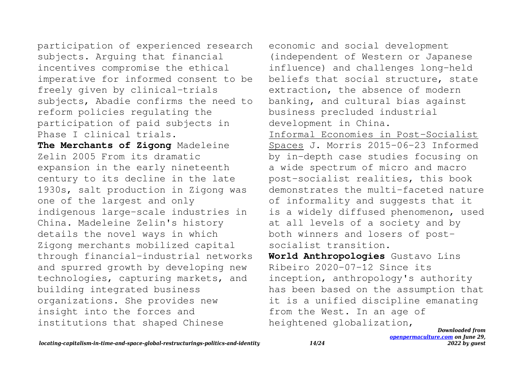participation of experienced research subjects. Arguing that financial incentives compromise the ethical imperative for informed consent to be freely given by clinical-trials subjects, Abadie confirms the need to reform policies regulating the participation of paid subjects in Phase I clinical trials.

**The Merchants of Zigong** Madeleine Zelin 2005 From its dramatic expansion in the early nineteenth century to its decline in the late 1930s, salt production in Zigong was one of the largest and only indigenous large-scale industries in China. Madeleine Zelin's history details the novel ways in which Zigong merchants mobilized capital through financial-industrial networks and spurred growth by developing new technologies, capturing markets, and building integrated business organizations. She provides new insight into the forces and institutions that shaped Chinese

economic and social development (independent of Western or Japanese influence) and challenges long-held beliefs that social structure, state extraction, the absence of modern banking, and cultural bias against business precluded industrial development in China. Informal Economies in Post-Socialist Spaces J. Morris 2015-06-23 Informed by in-depth case studies focusing on a wide spectrum of micro and macro post-socialist realities, this book demonstrates the multi-faceted nature of informality and suggests that it is a widely diffused phenomenon, used at all levels of a society and by both winners and losers of postsocialist transition. **World Anthropologies** Gustavo Lins Ribeiro 2020-07-12 Since its inception, anthropology's authority has been based on the assumption that it is a unified discipline emanating from the West. In an age of heightened globalization,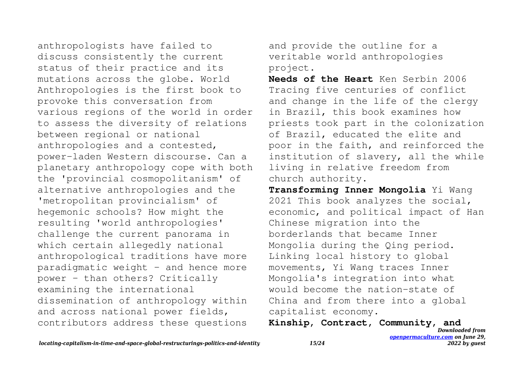anthropologists have failed to discuss consistently the current status of their practice and its mutations across the globe. World Anthropologies is the first book to provoke this conversation from various regions of the world in order to assess the diversity of relations between regional or national anthropologies and a contested, power-laden Western discourse. Can a planetary anthropology cope with both the 'provincial cosmopolitanism' of alternative anthropologies and the 'metropolitan provincialism' of hegemonic schools? How might the resulting 'world anthropologies' challenge the current panorama in which certain allegedly national anthropological traditions have more paradigmatic weight - and hence more power - than others? Critically examining the international dissemination of anthropology within and across national power fields, contributors address these questions

and provide the outline for a veritable world anthropologies project.

**Needs of the Heart** Ken Serbin 2006 Tracing five centuries of conflict and change in the life of the clergy in Brazil, this book examines how priests took part in the colonization of Brazil, educated the elite and poor in the faith, and reinforced the institution of slavery, all the while living in relative freedom from church authority.

**Transforming Inner Mongolia** Yi Wang 2021 This book analyzes the social, economic, and political impact of Han Chinese migration into the borderlands that became Inner Mongolia during the Qing period. Linking local history to global movements, Yi Wang traces Inner Mongolia's integration into what would become the nation-state of China and from there into a global capitalist economy.

**Kinship, Contract, Community, and**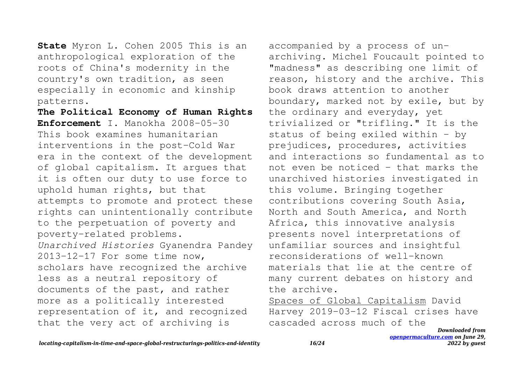**State** Myron L. Cohen 2005 This is an anthropological exploration of the roots of China's modernity in the country's own tradition, as seen especially in economic and kinship patterns.

**The Political Economy of Human Rights Enforcement** I. Manokha 2008-05-30 This book examines humanitarian interventions in the post-Cold War era in the context of the development of global capitalism. It argues that it is often our duty to use force to uphold human rights, but that attempts to promote and protect these rights can unintentionally contribute to the perpetuation of poverty and poverty-related problems. *Unarchived Histories* Gyanendra Pandey 2013-12-17 For some time now, scholars have recognized the archive less as a neutral repository of documents of the past, and rather more as a politically interested representation of it, and recognized that the very act of archiving is

accompanied by a process of unarchiving. Michel Foucault pointed to "madness" as describing one limit of reason, history and the archive. This book draws attention to another boundary, marked not by exile, but by the ordinary and everyday, yet trivialized or "trifling." It is the status of being exiled within – by prejudices, procedures, activities and interactions so fundamental as to not even be noticed – that marks the unarchived histories investigated in this volume. Bringing together contributions covering South Asia, North and South America, and North Africa, this innovative analysis presents novel interpretations of unfamiliar sources and insightful reconsiderations of well-known materials that lie at the centre of many current debates on history and the archive.

Spaces of Global Capitalism David Harvey 2019-03-12 Fiscal crises have cascaded across much of the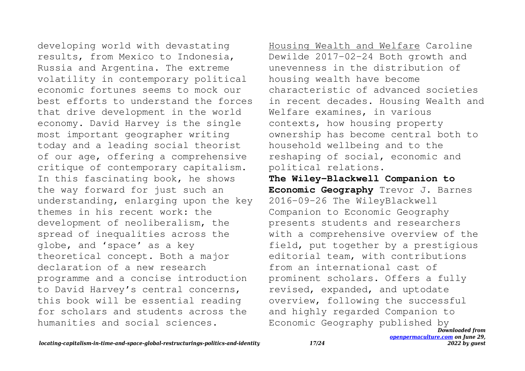developing world with devastating results, from Mexico to Indonesia, Russia and Argentina. The extreme volatility in contemporary political economic fortunes seems to mock our best efforts to understand the forces that drive development in the world economy. David Harvey is the single most important geographer writing today and a leading social theorist of our age, offering a comprehensive critique of contemporary capitalism. In this fascinating book, he shows the way forward for just such an understanding, enlarging upon the key themes in his recent work: the development of neoliberalism, the spread of inequalities across the globe, and 'space' as a key theoretical concept. Both a major declaration of a new research programme and a concise introduction to David Harvey's central concerns, this book will be essential reading for scholars and students across the humanities and social sciences.

Housing Wealth and Welfare Caroline Dewilde 2017-02-24 Both growth and unevenness in the distribution of housing wealth have become characteristic of advanced societies in recent decades. Housing Wealth and Welfare examines, in various contexts, how housing property ownership has become central both to household wellbeing and to the reshaping of social, economic and political relations.

**The Wiley-Blackwell Companion to Economic Geography** Trevor J. Barnes 2016-09-26 The WileyBlackwell Companion to Economic Geography presents students and researchers with a comprehensive overview of the field, put together by a prestigious editorial team, with contributions from an international cast of prominent scholars. Offers a fully revised, expanded, and uptodate overview, following the successful and highly regarded Companion to Economic Geography published by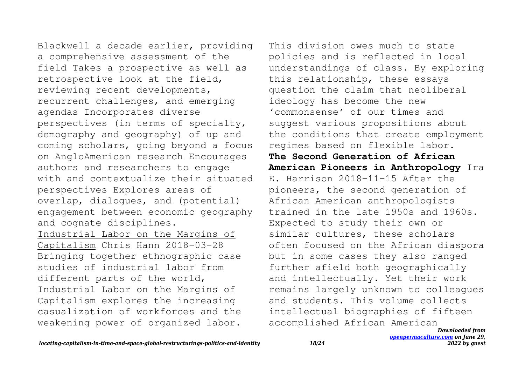Blackwell a decade earlier, providing a comprehensive assessment of the field Takes a prospective as well as retrospective look at the field, reviewing recent developments, recurrent challenges, and emerging agendas Incorporates diverse perspectives (in terms of specialty, demography and geography) of up and coming scholars, going beyond a focus on AngloAmerican research Encourages authors and researchers to engage with and contextualize their situated perspectives Explores areas of overlap, dialogues, and (potential) engagement between economic geography and cognate disciplines. Industrial Labor on the Margins of Capitalism Chris Hann 2018-03-28 Bringing together ethnographic case studies of industrial labor from different parts of the world, Industrial Labor on the Margins of Capitalism explores the increasing casualization of workforces and the weakening power of organized labor.

This division owes much to state policies and is reflected in local understandings of class. By exploring this relationship, these essays question the claim that neoliberal ideology has become the new 'commonsense' of our times and suggest various propositions about the conditions that create employment regimes based on flexible labor. **The Second Generation of African American Pioneers in Anthropology** Ira E. Harrison 2018-11-15 After the pioneers, the second generation of African American anthropologists trained in the late 1950s and 1960s. Expected to study their own or similar cultures, these scholars often focused on the African diaspora but in some cases they also ranged further afield both geographically and intellectually. Yet their work remains largely unknown to colleagues and students. This volume collects intellectual biographies of fifteen accomplished African American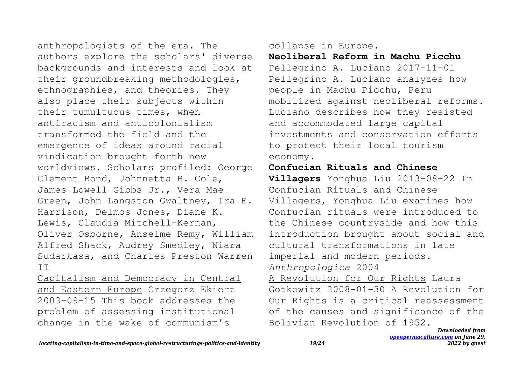anthropologists of the era. The authors explore the scholars' diverse backgrounds and interests and look at their groundbreaking methodologies, ethnographies, and theories. They also place their subjects within their tumultuous times, when antiracism and anticolonialism transformed the field and the emergence of ideas around racial vindication brought forth new worldviews. Scholars profiled: George Clement Bond, Johnnetta B. Cole, James Lowell Gibbs Jr., Vera Mae Green, John Langston Gwaltney, Ira E. Harrison, Delmos Jones, Diane K. Lewis, Claudia Mitchell-Kernan, Oliver Osborne, Anselme Remy, William Alfred Shack, Audrey Smedley, Niara Sudarkasa, and Charles Preston Warren II

Capitalism and Democracy in Central and Eastern Europe Grzegorz Ekiert 2003-09-15 This book addresses the problem of assessing institutional change in the wake of communism's

collapse in Europe.

**Neoliberal Reform in Machu Picchu** Pellegrino A. Luciano 2017-11-01 Pellegrino A. Luciano analyzes how people in Machu Picchu, Peru mobilized against neoliberal reforms. Luciano describes how they resisted and accommodated large capital investments and conservation efforts to protect their local tourism economy.

## **Confucian Rituals and Chinese**

**Villagers** Yonghua Liu 2013-08-22 In Confucian Rituals and Chinese Villagers, Yonghua Liu examines how Confucian rituals were introduced to the Chinese countryside and how this introduction brought about social and cultural transformations in late imperial and modern periods. *Anthropologica* 2004

A Revolution for Our Rights Laura Gotkowitz 2008-01-30 A Revolution for Our Rights is a critical reassessment of the causes and significance of the Bolivian Revolution of 1952.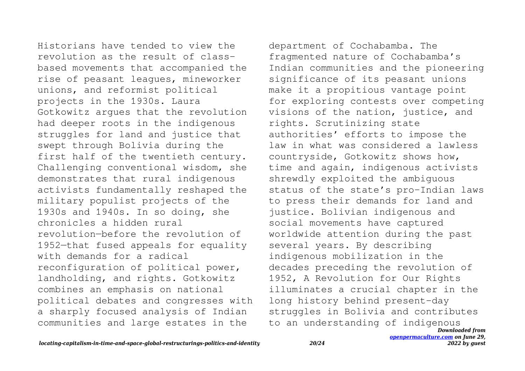Historians have tended to view the revolution as the result of classbased movements that accompanied the rise of peasant leagues, mineworker unions, and reformist political projects in the 1930s. Laura Gotkowitz argues that the revolution had deeper roots in the indigenous struggles for land and justice that swept through Bolivia during the first half of the twentieth century. Challenging conventional wisdom, she demonstrates that rural indigenous activists fundamentally reshaped the military populist projects of the 1930s and 1940s. In so doing, she chronicles a hidden rural revolution—before the revolution of 1952—that fused appeals for equality with demands for a radical reconfiguration of political power, landholding, and rights. Gotkowitz combines an emphasis on national political debates and congresses with a sharply focused analysis of Indian communities and large estates in the

*Downloaded from* department of Cochabamba. The fragmented nature of Cochabamba's Indian communities and the pioneering significance of its peasant unions make it a propitious vantage point for exploring contests over competing visions of the nation, justice, and rights. Scrutinizing state authorities' efforts to impose the law in what was considered a lawless countryside, Gotkowitz shows how, time and again, indigenous activists shrewdly exploited the ambiguous status of the state's pro-Indian laws to press their demands for land and justice. Bolivian indigenous and social movements have captured worldwide attention during the past several years. By describing indigenous mobilization in the decades preceding the revolution of 1952, A Revolution for Our Rights illuminates a crucial chapter in the long history behind present-day struggles in Bolivia and contributes to an understanding of indigenous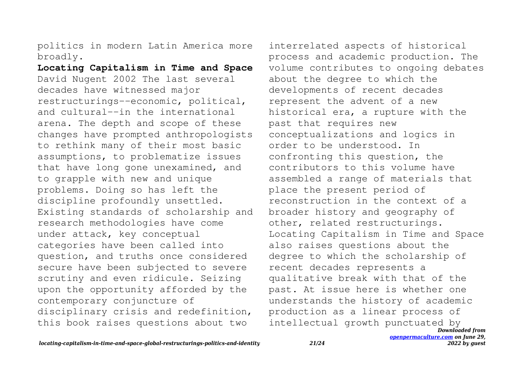politics in modern Latin America more broadly.

**Locating Capitalism in Time and Space** David Nugent 2002 The last several decades have witnessed major restructurings--economic, political, and cultural--in the international arena. The depth and scope of these changes have prompted anthropologists to rethink many of their most basic assumptions, to problematize issues that have long gone unexamined, and to grapple with new and unique problems. Doing so has left the discipline profoundly unsettled. Existing standards of scholarship and research methodologies have come under attack, key conceptual categories have been called into question, and truths once considered secure have been subjected to severe scrutiny and even ridicule. Seizing upon the opportunity afforded by the contemporary conjuncture of disciplinary crisis and redefinition, this book raises questions about two

*Downloaded from* interrelated aspects of historical process and academic production. The volume contributes to ongoing debates about the degree to which the developments of recent decades represent the advent of a new historical era, a rupture with the past that requires new conceptualizations and logics in order to be understood. In confronting this question, the contributors to this volume have assembled a range of materials that place the present period of reconstruction in the context of a broader history and geography of other, related restructurings. Locating Capitalism in Time and Space also raises questions about the degree to which the scholarship of recent decades represents a qualitative break with that of the past. At issue here is whether one understands the history of academic production as a linear process of intellectual growth punctuated by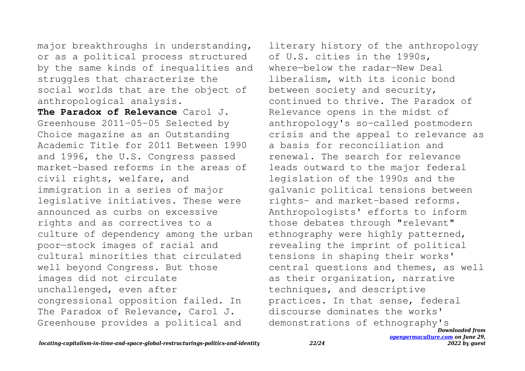major breakthroughs in understanding, or as a political process structured by the same kinds of inequalities and struggles that characterize the social worlds that are the object of anthropological analysis.

**The Paradox of Relevance** Carol J. Greenhouse 2011-05-05 Selected by Choice magazine as an Outstanding Academic Title for 2011 Between 1990 and 1996, the U.S. Congress passed market-based reforms in the areas of civil rights, welfare, and immigration in a series of major legislative initiatives. These were announced as curbs on excessive rights and as correctives to a culture of dependency among the urban poor—stock images of racial and cultural minorities that circulated well beyond Congress. But those images did not circulate unchallenged, even after congressional opposition failed. In The Paradox of Relevance, Carol J. Greenhouse provides a political and

*Downloaded from* literary history of the anthropology of U.S. cities in the 1990s, where—below the radar—New Deal liberalism, with its iconic bond between society and security, continued to thrive. The Paradox of Relevance opens in the midst of anthropology's so-called postmodern crisis and the appeal to relevance as a basis for reconciliation and renewal. The search for relevance leads outward to the major federal legislation of the 1990s and the galvanic political tensions between rights- and market-based reforms. Anthropologists' efforts to inform those debates through "relevant" ethnography were highly patterned, revealing the imprint of political tensions in shaping their works' central questions and themes, as well as their organization, narrative techniques, and descriptive practices. In that sense, federal discourse dominates the works' demonstrations of ethnography's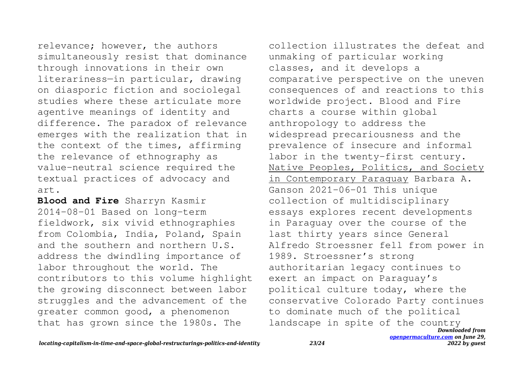relevance; however, the authors simultaneously resist that dominance through innovations in their own literariness—in particular, drawing on diasporic fiction and sociolegal studies where these articulate more agentive meanings of identity and difference. The paradox of relevance emerges with the realization that in the context of the times, affirming the relevance of ethnography as value-neutral science required the textual practices of advocacy and art.

**Blood and Fire** Sharryn Kasmir 2014-08-01 Based on long-term fieldwork, six vivid ethnographies from Colombia, India, Poland, Spain and the southern and northern U.S. address the dwindling importance of labor throughout the world. The contributors to this volume highlight the growing disconnect between labor struggles and the advancement of the greater common good, a phenomenon that has grown since the 1980s. The

*Downloaded from* collection illustrates the defeat and unmaking of particular working classes, and it develops a comparative perspective on the uneven consequences of and reactions to this worldwide project. Blood and Fire charts a course within global anthropology to address the widespread precariousness and the prevalence of insecure and informal labor in the twenty-first century. Native Peoples, Politics, and Society in Contemporary Paraguay Barbara A. Ganson 2021-06-01 This unique collection of multidisciplinary essays explores recent developments in Paraguay over the course of the last thirty years since General Alfredo Stroessner fell from power in 1989. Stroessner's strong authoritarian legacy continues to exert an impact on Paraguay's political culture today, where the conservative Colorado Party continues to dominate much of the political landscape in spite of the country